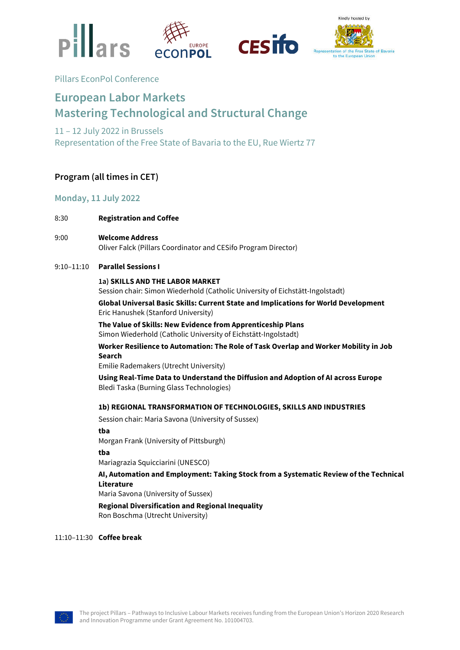





# Pillars EconPol Conference

# **European Labor Markets Mastering Technological and Structural Change**

# 11 – 12 July 2022 in Brussels Representation of the Free State of Bavaria to the EU, Rue Wiertz 77

# **Program (all times in CET)**

# **Monday, 11 July 2022**

- 8:30 **Registration and Coffee**
- 9:00 **Welcome Address** Oliver Falck (Pillars Coordinator and CESifo Program Director)

# 9:10–11:10 **Parallel Sessions I**

# **1a) SKILLS AND THE LABOR MARKET**

Session chair: Simon Wiederhold (Catholic University of Eichstätt-Ingolstadt)

**Global Universal Basic Skills: Current State and Implications for World Development** Eric Hanushek (Stanford University)

**The Value of Skills: New Evidence from Apprenticeship Plans** Simon Wiederhold (Catholic University of Eichstätt-Ingolstadt)

**Worker Resilience to Automation: The Role of Task Overlap and Worker Mobility in Job Search**

Emilie Rademakers (Utrecht University)

**Using Real-Time Data to Understand the Diffusion and Adoption of AI across Europe** Bledi Taska (Burning Glass Technologies)

# **1b) REGIONAL TRANSFORMATION OF TECHNOLOGIES, SKILLS AND INDUSTRIES**

Session chair: Maria Savona (University of Sussex)

**tba**

Morgan Frank (University of Pittsburgh)

**tba**

Mariagrazia Squicciarini (UNESCO)

**AI, Automation and Employment: Taking Stock from a Systematic Review of the Technical Literature**

Maria Savona (University of Sussex)

**Regional Diversification and Regional Inequality**

Ron Boschma (Utrecht University)

11:10–11:30 **Coffee break**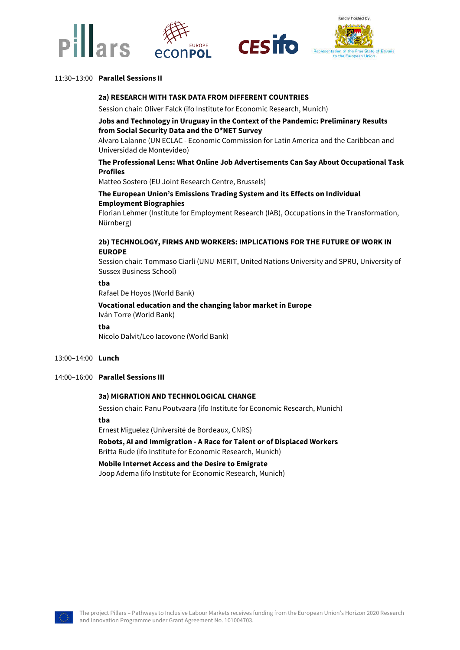





# 11:30–13:00 **Parallel Sessions II**

### **2a) RESEARCH WITH TASK DATA FROM DIFFERENT COUNTRIES**

Session chair: Oliver Falck (ifo Institute for Economic Research, Munich)

# **Jobs and Technology in Uruguay in the Context of the Pandemic: Preliminary Results from Social Security Data and the O\*NET Survey**

Alvaro Lalanne (UN ECLAC - Economic Commission for Latin America and the Caribbean and Universidad de Montevideo)

# **The Professional Lens: What Online Job Advertisements Can Say About Occupational Task Profiles**

Matteo Sostero (EU Joint Research Centre, Brussels)

# **The European Union's Emissions Trading System and its Effects on Individual Employment Biographies**

Florian Lehmer (Institute for Employment Research (IAB), Occupations in the Transformation, Nürnberg)

# **2b) TECHNOLOGY, FIRMS AND WORKERS: IMPLICATIONS FOR THE FUTURE OF WORK IN EUROPE**

Session chair: Tommaso Ciarli (UNU-MERIT, United Nations University and SPRU, University of Sussex Business School)

### **tba**

Rafael De Hoyos (World Bank)

**Vocational education and the changing labor market in Europe** Iván Torre (World Bank)

#### **tba**

Nicolo Dalvit/Leo Iacovone (World Bank)

#### 13:00–14:00 **Lunch**

14:00–16:00 **Parallel Sessions III**

# **3a) MIGRATION AND TECHNOLOGICAL CHANGE**

Session chair: Panu Poutvaara (ifo Institute for Economic Research, Munich)

#### **tba**

Ernest Miguelez (Université de Bordeaux, CNRS)

**Robots, AI and Immigration - A Race for Talent or of Displaced Workers** Britta Rude (ifo Institute for Economic Research, Munich)

**Mobile Internet Access and the Desire to Emigrate** Joop Adema (ifo Institute for Economic Research, Munich)

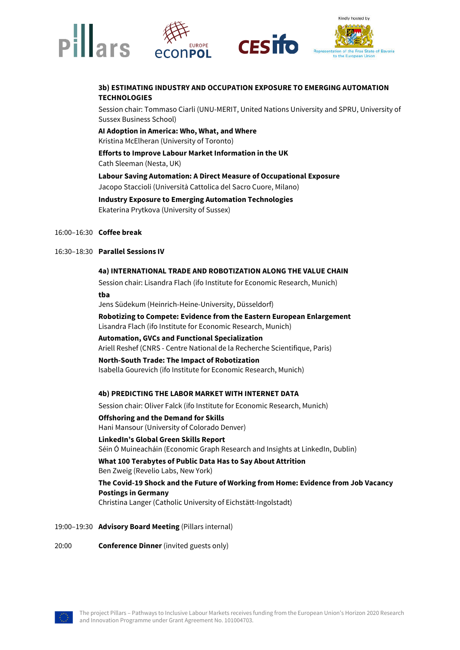

# **3b) ESTIMATING INDUSTRY AND OCCUPATION EXPOSURE TO EMERGING AUTOMATION TECHNOLOGIES**

Session chair: Tommaso Ciarli (UNU-MERIT, United Nations University and SPRU, University of Sussex Business School)

**AI Adoption in America: Who, What, and Where** Kristina McElheran (University of Toronto)

**Efforts to Improve Labour Market Information in the UK** Cath Sleeman (Nesta, UK)

**Labour Saving Automation: A Direct Measure of Occupational Exposure** Jacopo Staccioli (Università Cattolica del Sacro Cuore, Milano)

**Industry Exposure to Emerging Automation Technologies** Ekaterina Prytkova (University of Sussex)

# 16:00–16:30 **Coffee break**

#### 16:30–18:30 **Parallel Sessions IV**

# **4a) INTERNATIONAL TRADE AND ROBOTIZATION ALONG THE VALUE CHAIN**

Session chair: Lisandra Flach (ifo Institute for Economic Research, Munich)

**tba**

Jens Südekum (Heinrich-Heine-University, Düsseldorf)

**Robotizing to Compete: Evidence from the Eastern European Enlargement** Lisandra Flach (ifo Institute for Economic Research, Munich)

**Automation, GVCs and Functional Specialization** Ariell Reshef (CNRS - Centre National de la Recherche Scientifique, Paris)

**North-South Trade: The Impact of Robotization** Isabella Gourevich (ifo Institute for Economic Research, Munich)

#### **4b) PREDICTING THE LABOR MARKET WITH INTERNET DATA**

Session chair: Oliver Falck (ifo Institute for Economic Research, Munich)

# **Offshoring and the Demand for Skills**

Hani Mansour (University of Colorado Denver)

#### **LinkedIn's Global Green Skills Report**

Séin Ó Muineacháin (Economic Graph Research and Insights at LinkedIn, Dublin)

**What 100 Terabytes of Public Data Has to Say About Attrition**

Ben Zweig (Revelio Labs, New York)

# **The Covid-19 Shock and the Future of Working from Home: Evidence from Job Vacancy Postings in Germany**

Christina Langer (Catholic University of Eichstätt-Ingolstadt)

### 19:00–19:30 **Advisory Board Meeting** (Pillars internal)

20:00 **Conference Dinner** (invited guests only)

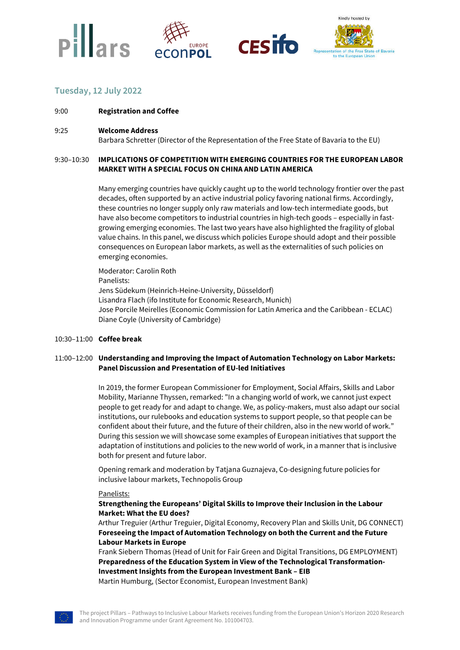





# **Tuesday, 12 July 2022**

- 9:00 **Registration and Coffee**
- 9:25 **Welcome Address**

Barbara Schretter (Director of the Representation of the Free State of Bavaria to the EU)

# 9:30–10:30 **IMPLICATIONS OF COMPETITION WITH EMERGING COUNTRIES FOR THE EUROPEAN LABOR MARKET WITH A SPECIAL FOCUS ON CHINA AND LATIN AMERICA**

Many emerging countries have quickly caught up to the world technology frontier over the past decades, often supported by an active industrial policy favoring national firms. Accordingly, these countries no longer supply only raw materials and low-tech intermediate goods, but have also become competitors to industrial countries in high-tech goods – especially in fastgrowing emerging economies. The last two years have also highlighted the fragility of global value chains. In this panel, we discuss which policies Europe should adopt and their possible consequences on European labor markets, as well as the externalities of such policies on emerging economies.

Moderator: Carolin Roth Panelists: Jens Südekum (Heinrich-Heine-University, Düsseldorf) Lisandra Flach (ifo Institute for Economic Research, Munich) Jose Porcile Meirelles (Economic Commission for Latin America and the Caribbean - ECLAC) Diane Coyle (University of Cambridge)

### 10:30–11:00 **Coffee break**

# 11:00–12:00 **Understanding and Improving the Impact of Automation Technology on Labor Markets: Panel Discussion and Presentation of EU-led Initiatives**

In 2019, the former European Commissioner for Employment, Social Affairs, Skills and Labor Mobility, Marianne Thyssen, remarked: "In a changing world of work, we cannot just expect people to get ready for and adapt to change. We, as policy-makers, must also adapt our social institutions, our rulebooks and education systems to support people, so that people can be confident about their future, and the future of their children, also in the new world of work." During this session we will showcase some examples of European initiatives that support the adaptation of institutions and policies to the new world of work, in a manner that is inclusive both for present and future labor.

Opening remark and moderation by Tatjana Guznajeva, Co-designing future policies for inclusive labour markets, Technopolis Group

## Panelists:

# **Strengthening the Europeans' Digital Skills to Improve their Inclusion in the Labour Market: What the EU does?**

Arthur Treguier (Arthur Treguier, Digital Economy, Recovery Plan and Skills Unit, DG CONNECT) **Foreseeing the Impact of Automation Technology on both the Current and the Future Labour Markets in Europe**

Frank Siebern Thomas (Head of Unit for Fair Green and Digital Transitions, DG EMPLOYMENT) **Preparedness of the Education System in View of the Technological Transformation-Investment Insights from the European Investment Bank – EIB** Martin Humburg, (Sector Economist, European Investment Bank)